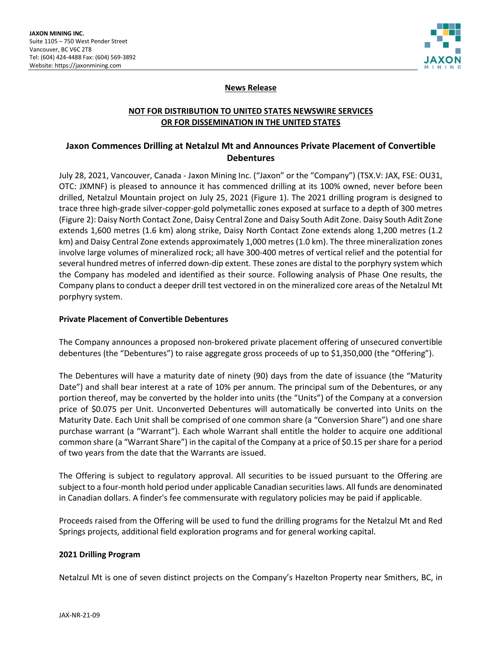

## **News Release**

# **NOT FOR DISTRIBUTION TO UNITED STATES NEWSWIRE SERVICES OR FOR DISSEMINATION IN THE UNITED STATES**

# **Jaxon Commences Drilling at Netalzul Mt and Announces Private Placement of Convertible Debentures**

July 28, 2021, Vancouver, Canada - Jaxon Mining Inc. ("Jaxon" or the "Company") (TSX.V: JAX, FSE: OU31, OTC: JXMNF) is pleased to announce it has commenced drilling at its 100% owned, never before been drilled, Netalzul Mountain project on July 25, 2021 (Figure 1). The 2021 drilling program is designed to trace three high-grade silver-copper-gold polymetallic zones exposed at surface to a depth of 300 metres (Figure 2): Daisy North Contact Zone, Daisy Central Zone and Daisy South Adit Zone. Daisy South Adit Zone extends 1,600 metres (1.6 km) along strike, Daisy North Contact Zone extends along 1,200 metres (1.2 km) and Daisy Central Zone extends approximately 1,000 metres (1.0 km). The three mineralization zones involve large volumes of mineralized rock; all have 300-400 metres of vertical relief and the potential for several hundred metres of inferred down-dip extent. These zones are distal to the porphyry system which the Company has modeled and identified as their source. Following analysis of Phase One results, the Company plans to conduct a deeper drill test vectored in on the mineralized core areas of the Netalzul Mt porphyry system.

#### **Private Placement of Convertible Debentures**

The Company announces a proposed non-brokered private placement offering of unsecured convertible debentures (the "Debentures") to raise aggregate gross proceeds of up to \$1,350,000 (the "Offering").

The Debentures will have a maturity date of ninety (90) days from the date of issuance (the "Maturity Date") and shall bear interest at a rate of 10% per annum. The principal sum of the Debentures, or any portion thereof, may be converted by the holder into units (the "Units") of the Company at a conversion price of \$0.075 per Unit. Unconverted Debentures will automatically be converted into Units on the Maturity Date. Each Unit shall be comprised of one common share (a "Conversion Share") and one share purchase warrant (a "Warrant"). Each whole Warrant shall entitle the holder to acquire one additional common share (a "Warrant Share") in the capital of the Company at a price of \$0.15 per share for a period of two years from the date that the Warrants are issued.

The Offering is subject to regulatory approval. All securities to be issued pursuant to the Offering are subject to a four-month hold period under applicable Canadian securities laws. All funds are denominated in Canadian dollars. A finder's fee commensurate with regulatory policies may be paid if applicable.

Proceeds raised from the Offering will be used to fund the drilling programs for the Netalzul Mt and Red Springs projects, additional field exploration programs and for general working capital.

### **2021 Drilling Program**

Netalzul Mt is one of seven distinct projects on the Company's Hazelton Property near Smithers, BC, in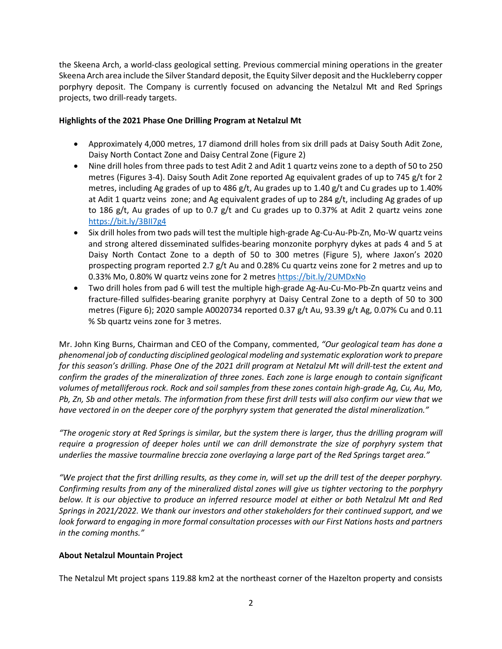the Skeena Arch, a world-class geological setting. Previous commercial mining operations in the greater Skeena Arch area include the Silver Standard deposit, the Equity Silver deposit and the Huckleberry copper porphyry deposit. The Company is currently focused on advancing the Netalzul Mt and Red Springs projects, two drill-ready targets.

## **Highlights of the 2021 Phase One Drilling Program at Netalzul Mt**

- Approximately 4,000 metres, 17 diamond drill holes from six drill pads at Daisy South Adit Zone, Daisy North Contact Zone and Daisy Central Zone (Figure 2)
- Nine drill holes from three pads to test Adit 2 and Adit 1 quartz veins zone to a depth of 50 to 250 metres (Figures 3-4). Daisy South Adit Zone reported Ag equivalent grades of up to 745 g/t for 2 metres, including Ag grades of up to 486 g/t, Au grades up to 1.40 g/t and Cu grades up to 1.40% at Adit 1 quartz veins zone; and Ag equivalent grades of up to 284 g/t, including Ag grades of up to 186 g/t, Au grades of up to 0.7 g/t and Cu grades up to 0.37% at Adit 2 quartz veins zone <https://bit.ly/3BII7g4>
- Six drill holes from two pads will test the multiple high-grade Ag-Cu-Au-Pb-Zn, Mo-W quartz veins and strong altered disseminated sulfides-bearing monzonite porphyry dykes at pads 4 and 5 at Daisy North Contact Zone to a depth of 50 to 300 metres (Figure 5), where Jaxon's 2020 prospecting program reported 2.7 g/t Au and 0.28% Cu quartz veins zone for 2 metres and up to 0.33% Mo, 0.80% W quartz veins zone for 2 metre[s https://bit.ly/2UMDxNo](https://bit.ly/2UMDxNo)
- Two drill holes from pad 6 will test the multiple high-grade Ag-Au-Cu-Mo-Pb-Zn quartz veins and fracture-filled sulfides-bearing granite porphyry at Daisy Central Zone to a depth of 50 to 300 metres (Figure 6); 2020 sample A0020734 reported 0.37 g/t Au, 93.39 g/t Ag, 0.07% Cu and 0.11 % Sb quartz veins zone for 3 metres.

Mr. John King Burns, Chairman and CEO of the Company, commented, *"Our geological team has done a phenomenal job of conducting disciplined geological modeling and systematic exploration work to prepare for this season's drilling. Phase One of the 2021 drill program at Netalzul Mt will drill-test the extent and confirm the grades of the mineralization of three zones. Each zone is large enough to contain significant volumes of metalliferous rock. Rock and soil samples from these zones contain high-grade Ag, Cu, Au, Mo, Pb, Zn, Sb and other metals. The information from these first drill tests will also confirm our view that we have vectored in on the deeper core of the porphyry system that generated the distal mineralization."*

*"The orogenic story at Red Springs is similar, but the system there is larger, thus the drilling program will require a progression of deeper holes until we can drill demonstrate the size of porphyry system that underlies the massive tourmaline breccia zone overlaying a large part of the Red Springs target area."*

*"We project that the first drilling results, as they come in, will set up the drill test of the deeper porphyry. Confirming results from any of the mineralized distal zones will give us tighter vectoring to the porphyry below. It is our objective to produce an inferred resource model at either or both Netalzul Mt and Red Springs in 2021/2022. We thank our investors and other stakeholders for their continued support, and we look forward to engaging in more formal consultation processes with our First Nations hosts and partners in the coming months."*

### **About Netalzul Mountain Project**

The Netalzul Mt project spans 119.88 km2 at the northeast corner of the Hazelton property and consists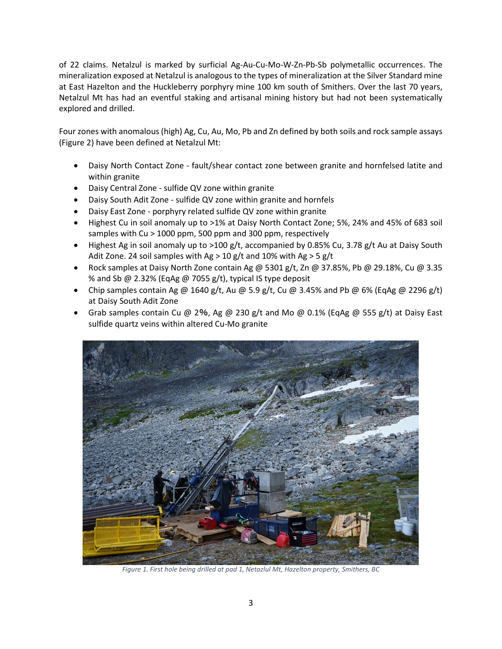of 22 claims. Netalzul is marked by surficial Ag-Au-Cu-Mo-W-Zn-Pb-Sb polymetallic occurrences. The mineralization exposed at Netalzul is analogous to the types of mineralization at the Silver Standard mine at East Hazelton and the Huckleberry porphyry mine 100 km south of Smithers. Over the last 70 years, Netalzul Mt has had an eventful staking and artisanal mining history but had not been systematically explored and drilled.

Four zones with anomalous (high) Ag, Cu, Au, Mo, Pb and Zn defined by both soils and rock sample assays (Figure 2) have been defined at Netalzul Mt:

- Daisy North Contact Zone fault/shear contact zone between granite and hornfelsed latite and within granite
- Daisy Central Zone sulfide QV zone within granite
- Daisy South Adit Zone sulfide QV zone within granite and hornfels
- Daisy East Zone porphyry related sulfide QV zone within granite
- Highest Cu in soil anomaly up to >1% at Daisy North Contact Zone; 5%, 24% and 45% of 683 soil samples with Cu > 1000 ppm, 500 ppm and 300 ppm, respectively
- Highest Ag in soil anomaly up to >100 g/t, accompanied by 0.85% Cu, 3.78 g/t Au at Daisy South Adit Zone. 24 soil samples with Ag > 10 g/t and 10% with Ag > 5 g/t
- Rock samples at Daisy North Zone contain Ag @ 5301 g/t, Zn @ 37.85%, Pb @ 29.18%, Cu @ 3.35 % and Sb @ 2.32% (EqAg @ 7055 g/t), typical IS type deposit
- Chip samples contain Ag @ 1640 g/t, Au @ 5.9 g/t, Cu @ 3.45% and Pb @ 6% (EqAg @ 2296 g/t) at Daisy South Adit Zone
- Grab samples contain Cu @ 2%, Ag @ 230 g/t and Mo @ 0.1% (EqAg @ 555 g/t) at Daisy East sulfide quartz veins within altered Cu-Mo granite



*Figure 1. First hole being drilled at pad 1, Netazlul Mt, Hazelton property, Smithers, BC*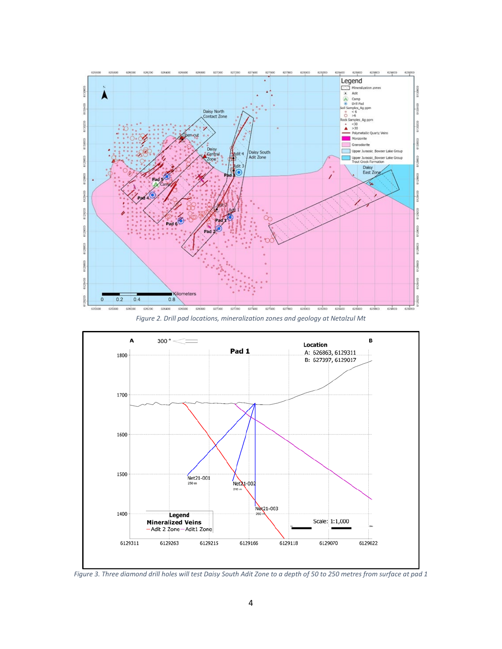

*Figure 2. Drill pad locations, mineralization zones and geology at Netalzul Mt*



*Figure 3. Three diamond drill holes will test Daisy South Adit Zone to a depth of 50 to 250 metres from surface at pad 1*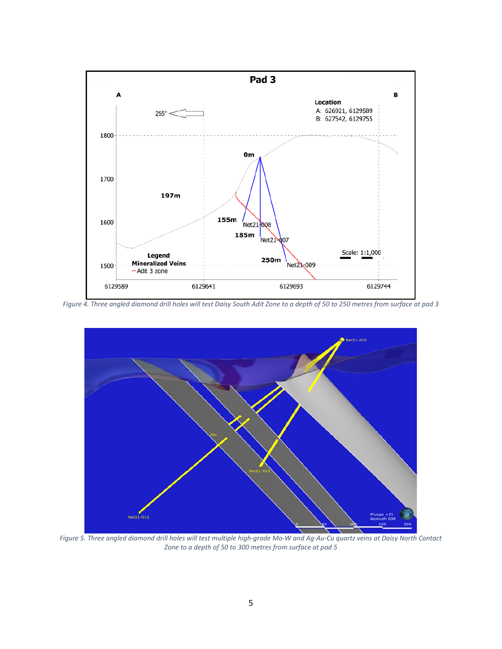

*Figure 4. Three angled diamond drill holes will test Daisy South Adit Zone to a depth of 50 to 250 metres from surface at pad 3*



*Figure 5. Three angled diamond drill holes will test multiple high-grade Mo-W and Ag-Au-Cu quartz veins at Daisy North Contact Zone to a depth of 50 to 300 metres from surface at pad 5*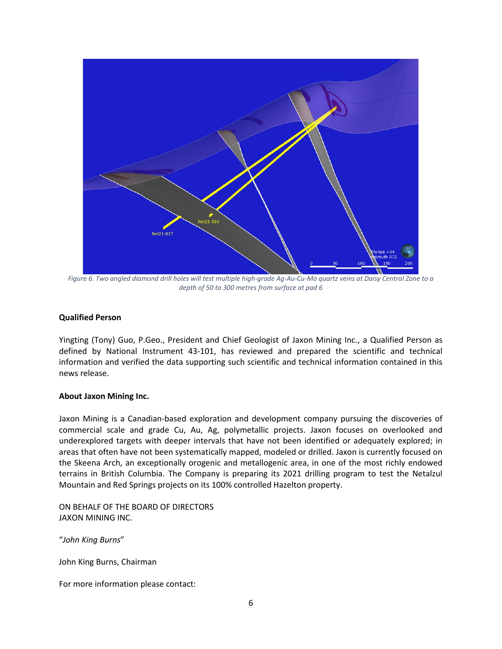

*Figure 6. Two angled diamond drill holes will test multiple high-grade Ag-Au-Cu-Mo quartz veins at Daisy Central Zone to a depth of 50 to 300 metres from surface at pad 6*

### **Qualified Person**

Yingting (Tony) Guo, P.Geo., President and Chief Geologist of Jaxon Mining Inc., a Qualified Person as defined by National Instrument 43-101, has reviewed and prepared the scientific and technical information and verified the data supporting such scientific and technical information contained in this news release.

#### **About Jaxon Mining Inc.**

Jaxon Mining is a Canadian-based exploration and development company pursuing the discoveries of commercial scale and grade Cu, Au, Ag, polymetallic projects. Jaxon focuses on overlooked and underexplored targets with deeper intervals that have not been identified or adequately explored; in areas that often have not been systematically mapped, modeled or drilled. Jaxon is currently focused on the Skeena Arch, an exceptionally orogenic and metallogenic area, in one of the most richly endowed terrains in British Columbia. The Company is preparing its 2021 drilling program to test the Netalzul Mountain and Red Springs projects on its 100% controlled Hazelton property.

ON BEHALF OF THE BOARD OF DIRECTORS JAXON MINING INC.

"*John King Burns*"

John King Burns, Chairman

For more information please contact: